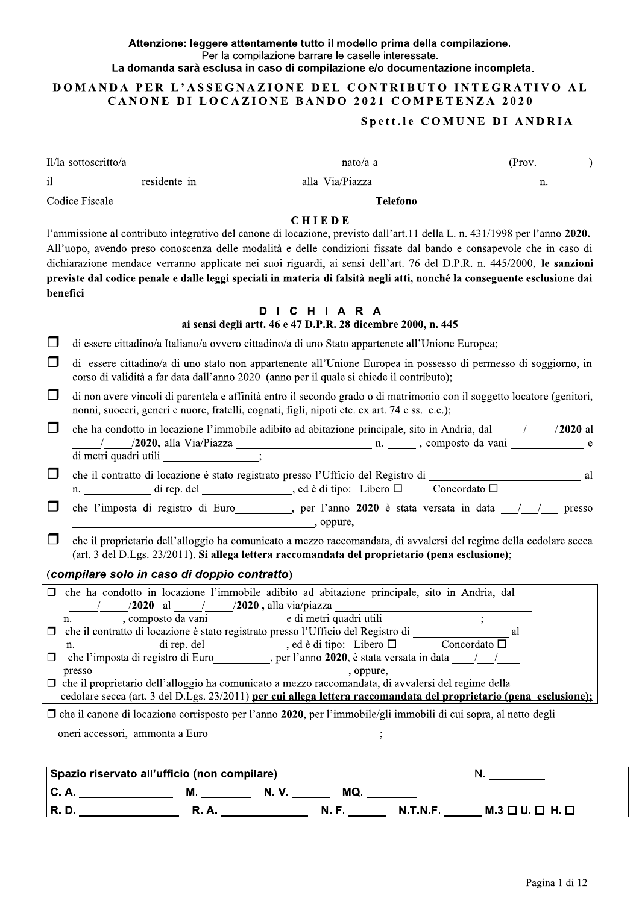### Attenzione: leggere attentamente tutto il modello prima della compilazione. Per la compilazione barrare le caselle interessate. La domanda sarà esclusa in caso di compilazione e/o documentazione incompleta.

### DOMANDA PER L'ASSEGNAZIONE DEL CONTRIBUTO INTEGRATIVO AL

### CANONE DI LOCAZIONE BANDO 2021 COMPETENZA 2020

### Spett.le COMUNE DI ANDRIA

| benefici                                                    | <b>CHIEDE</b><br>l'ammissione al contributo integrativo del canone di locazione, previsto dall'art.11 della L. n. 431/1998 per l'anno 2020.<br>All'uopo, avendo preso conoscenza delle modalità e delle condizioni fissate dal bando e consapevole che in caso di<br>dichiarazione mendace verranno applicate nei suoi riguardi, ai sensi dell'art. 76 del D.P.R. n. 445/2000, le sanzioni<br>previste dal codice penale e dalle leggi speciali in materia di falsità negli atti, nonché la conseguente esclusione dai |    |
|-------------------------------------------------------------|------------------------------------------------------------------------------------------------------------------------------------------------------------------------------------------------------------------------------------------------------------------------------------------------------------------------------------------------------------------------------------------------------------------------------------------------------------------------------------------------------------------------|----|
|                                                             | DICHIARA<br>ai sensi degli artt. 46 e 47 D.P.R. 28 dicembre 2000, n. 445                                                                                                                                                                                                                                                                                                                                                                                                                                               |    |
| ப                                                           | di essere cittadino/a Italiano/a ovvero cittadino/a di uno Stato appartenete all'Unione Europea;                                                                                                                                                                                                                                                                                                                                                                                                                       |    |
| ⊔                                                           | di essere cittadino/a di uno stato non appartenente all'Unione Europea in possesso di permesso di soggiorno, in<br>corso di validità a far data dall'anno 2020 (anno per il quale si chiede il contributo);                                                                                                                                                                                                                                                                                                            |    |
| $\Box$                                                      | di non avere vincoli di parentela e affinità entro il secondo grado o di matrimonio con il soggetto locatore (genitori,<br>nonni, suoceri, generi e nuore, fratelli, cognati, figli, nipoti etc. ex art. 74 e ss. c.c.);                                                                                                                                                                                                                                                                                               |    |
| $\Box$                                                      | che ha condotto in locazione l'immobile adibito ad abitazione principale, sito in Andria, dal (2020 al                                                                                                                                                                                                                                                                                                                                                                                                                 |    |
| $\Box$                                                      | che il contratto di locazione è stato registrato presso l'Ufficio del Registro di _______________________________ al<br>n. ____________ di rep. del _______________, ed è di tipo: Libero □ Concordato □                                                                                                                                                                                                                                                                                                               |    |
| $\Box$                                                      | che l'imposta di registro di Euro<br>9020 è stata versata in data<br>11/2020 è stata versata in data<br>12/2020 è stata versata in data<br>12/2020 è stata versata in data<br>12/2020 è stata versata in data<br>12/2020 è stata versata i<br>$\sim$ , oppure,                                                                                                                                                                                                                                                         |    |
| $\Box$                                                      | che il proprietario dell'alloggio ha comunicato a mezzo raccomandata, di avvalersi del regime della cedolare secca<br>(art. 3 del D.Lgs. 23/2011). Si allega lettera raccomandata del proprietario (pena esclusione);                                                                                                                                                                                                                                                                                                  |    |
| (compilare solo in caso di doppio contratto)                |                                                                                                                                                                                                                                                                                                                                                                                                                                                                                                                        |    |
| ______/_______/2020 al ______/_______/2020, alla via/piazza | $\Box$ che ha condotto in locazione l'immobile adibito ad abitazione principale, sito in Andria, dal                                                                                                                                                                                                                                                                                                                                                                                                                   |    |
|                                                             | $\Box$ che il contratto di locazione è stato registrato presso l'Ufficio del Registro di                                                                                                                                                                                                                                                                                                                                                                                                                               |    |
|                                                             |                                                                                                                                                                                                                                                                                                                                                                                                                                                                                                                        |    |
|                                                             | cedolare secca (art. 3 del D.Lgs. 23/2011) per cui allega lettera raccomandata del proprietario (pena esclusione);                                                                                                                                                                                                                                                                                                                                                                                                     |    |
|                                                             | $\Box$ che il canone di locazione corrisposto per l'anno 2020, per l'immobile/gli immobili di cui sopra, al netto degli                                                                                                                                                                                                                                                                                                                                                                                                |    |
|                                                             | oneri accessori, ammonta a Euro __________________________;                                                                                                                                                                                                                                                                                                                                                                                                                                                            |    |
|                                                             |                                                                                                                                                                                                                                                                                                                                                                                                                                                                                                                        |    |
| Spazio riservato all'ufficio (non compilare)                |                                                                                                                                                                                                                                                                                                                                                                                                                                                                                                                        | N. |

| ∣ Spazio riservato all'ufficio (non compliare) i |       |    |         |                                     |
|--------------------------------------------------|-------|----|---------|-------------------------------------|
| U.A                                              | м     | N. | МQ      |                                     |
| R.D                                              | к. н. |    | N.T.N.F | $M.3 \square U. \square H. \square$ |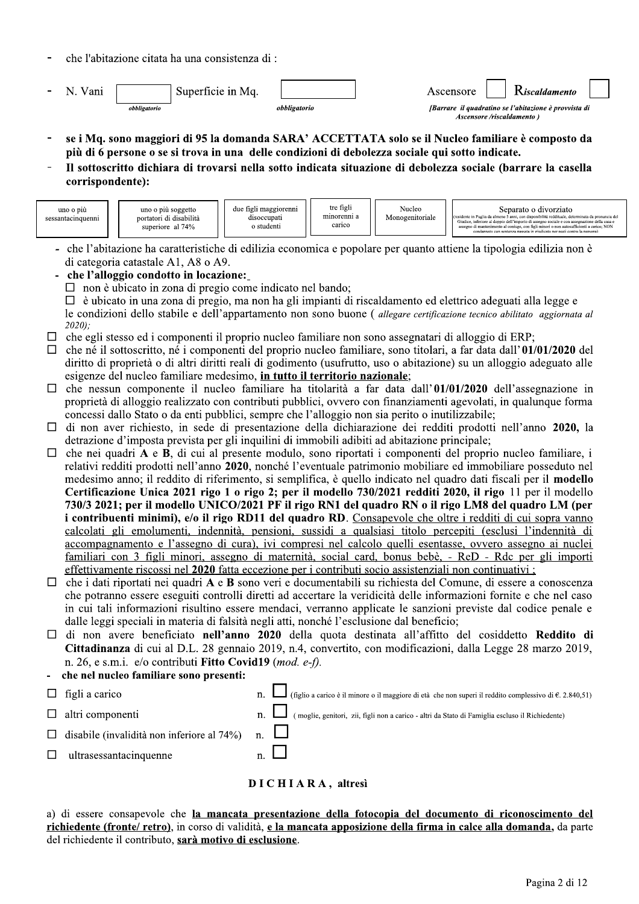|                                            | che l'abitazione citata ha una consistenza di : |                                                                                                 |                                                                                                                                                                                                                    |
|--------------------------------------------|-------------------------------------------------|-------------------------------------------------------------------------------------------------|--------------------------------------------------------------------------------------------------------------------------------------------------------------------------------------------------------------------|
|                                            | N. Vani<br>obbligatorio                         | Superficie in Mq.<br>obbligatorio                                                               | K iscaldamento<br>Ascensore<br>[Barrare il quadratino se l'abitazione è provvista di<br>Ascensore/riscaldamento)                                                                                                   |
| $\overline{\phantom{a}}$<br>$\blacksquare$ | corrispondente):                                | più di 6 persone o se si trova in una delle condizioni di debolezza sociale qui sotto indicate. | se i Mq. sono maggiori di 95 la domanda SARA' ACCETTATA solo se il Nucleo familiare è composto da<br>Il sottoscritto dichiara di trovarsi nella sotto indicata situazione di debolezza sociale (barrare la casella |

- 
- 

| Monogenitoriale<br>minorenni a<br>portatori di disabilità<br>disoccupati<br>sessantacinquenni<br>Giudice, inferiore al doppio dell'importo di assegno sociale e con assegnazione della casa e<br>carico<br>o studenti<br>superiore al 74%<br>assegno di mantenimento al coniuge, con figli minori o non autosufficienti a carico; NON<br>condannato con sentenza passata in giudicato per reati contro la persona) | uno o più | due figli maggiorenni<br>uno o più soggetto | tre figli | Nucleo | Separato o divorziato<br>fresidente in Puglia da almeno 5 anni, con disponibilità reddituale, determinata da pronuncia del |
|--------------------------------------------------------------------------------------------------------------------------------------------------------------------------------------------------------------------------------------------------------------------------------------------------------------------------------------------------------------------------------------------------------------------|-----------|---------------------------------------------|-----------|--------|----------------------------------------------------------------------------------------------------------------------------|
|--------------------------------------------------------------------------------------------------------------------------------------------------------------------------------------------------------------------------------------------------------------------------------------------------------------------------------------------------------------------------------------------------------------------|-----------|---------------------------------------------|-----------|--------|----------------------------------------------------------------------------------------------------------------------------|

- che l'abitazione ha caratteristiche di edilizia economica e popolare per quanto attiene la tipologia edilizia non è di categoria catastale A1, A8 o A9.

:che l'alloggio condotto in locazione:

 $\Box$  non e ubicato in zona di pregio come indicato nel bando;

 $\Box$  e ubicato in una zona di pregio, ma non ha gli impianti di riscaldamento ed elettrico adeguati alla legge e le condizioni dello stabile e dell'appartamento non sono buone (*allegare certificazione tecnico abilitato aggiornata al*<br>2000)  $(2020)$ .

- $\Box$  che egli stesso ed i componenti il proprio nucleo familiare non sono assegnatari di alloggio di ERP;
- $\Box$  che ne il sottoscritto, ne i componenti del proprio nucleo familiare, sono titolari, a far data dall'UI/UI/2020 del diritto di proprietà o di altri diritti reali di godimento (usufrutto, uso o abitazione) su un alloggio adeguato alle esigenze del nucleo familiare medesimo, in tutto il territorio nazionale;
- $\Box$  che nessun componente il nucleo familiare ha titolarita a far data dall'UI/UI/2020 dell'assegnazione in proprieta di alloggio realizzato con contributi pubblici, ovvero con finanziamenti agevolati, in qualunque forma concessi dallo Stato o da enti pubblici, sempre che l'alloggio non sia perito o inutilizzabile;
- $\Box$  di non aver richiesto, in sede di presentazione della dichiarazione dei redditi prodotti nell'anno 2020, la  $\alpha$  detrazione d'imposta prevista per gli inquilini di immobili adibiti ad abitazione principale;
- $\Box$  che nei quadri A e **B**, di cui al presente modulo, sono riportati i componenti del proprio nucleo familiare, i relativi redditi prodotti nell'anno 2020, nonche l'eventuale patrimonio mobiliare ed immobiliare posseduto nel medesimo anno; il reddito di riferimento, si semplifica, e quello indicato nel quadro dati fiscali per il **modello** Certificazione Unica 2021 rigo 1 o rigo 2; per il modello 730/2021 redditi 2020, il rigo 11 per il modello 730/3 2021; per il modello UNICO/2021 PF il rigo RN1 del quadro RN o il rigo LM8 del quadro LM (per i contribuenti minimi), e/o il rigo RDII del quadro RD. Consapevole che oltre i redditi di cui sopra vanno il <u>calcolati gli emolumenti, indennita, pensioni, sussidi a qualsiasi titolo percepiti (esclusi l'indennita di </u> accompagnamento e l'assegno di cura), ivi compresi nel calcolo quelli esentasse, ovvero assegno ai nuclei <u>familiari con 3 figli minori, assegno di maternita, social card, bonus bebe, - ReD - Rdc per gli importi</u> effettivamente riscossi nel 2020 fatta eccezione per i contributi socio assistenziali non continuativi:
- $\Box$  che i dati riportati nei quadri A e B sono veri e documentabili su richiesta del Comune, di essere a conoscenza che potranno essere eseguiti controlli diretti ad accertare la veridicità delle informazioni fornite e che nel caso in cui tali informazioni risultino essere mendaci, verranno applicate le sanzioni previste dal codice penale e dalle leggi speciali in materia di falsità negli atti, nonche l'esclusione dal beneficio;
- $\Box$  di non avere beneficiato nell'anno 2020 della quota destinata all'affitto del cosiddetto Reddito di **Cittadinanza** di cui al D.L. 28 gennaio 2019, n.4, convertito, con modificazioni, dalla Legge 28 marzo 2019, n. 26, e s.m.i. e/o contributi Fitto Covid I9 (*mod. e-f)*.

che nel nucleo familiare sono presenti:

- $\Box$  figli a carico<br>  $\Box$  figlio a carico è il minore o il maggiore di età che non superi il reddito complessivo di  $\epsilon$ . 2.840,51)  $\Box$  altri componenti  $\overline{n}$ .  $\Box$  (moglie, genitori, zii, figli non a carico - altri da Stato di Famiglia escluso il Richiedente)  $\Box$  disabile (invalidità non inferiore al 74%) n.  $\Box$
- $\Box$  ultrasessantad

## $n. \Box$ <br>DICHIARA, altresi

a) di essere consapevole che <u>la mancata presentazione della fotocopia del documento di riconoscimento del</u> <u>richiedente (fronte/ retro),</u> in corso di validita, <u>e la mancata apposizione della firma in calce alla domanda,</u> da parte del richiedente il contributo, <mark>sara motivo di esclusione</mark>.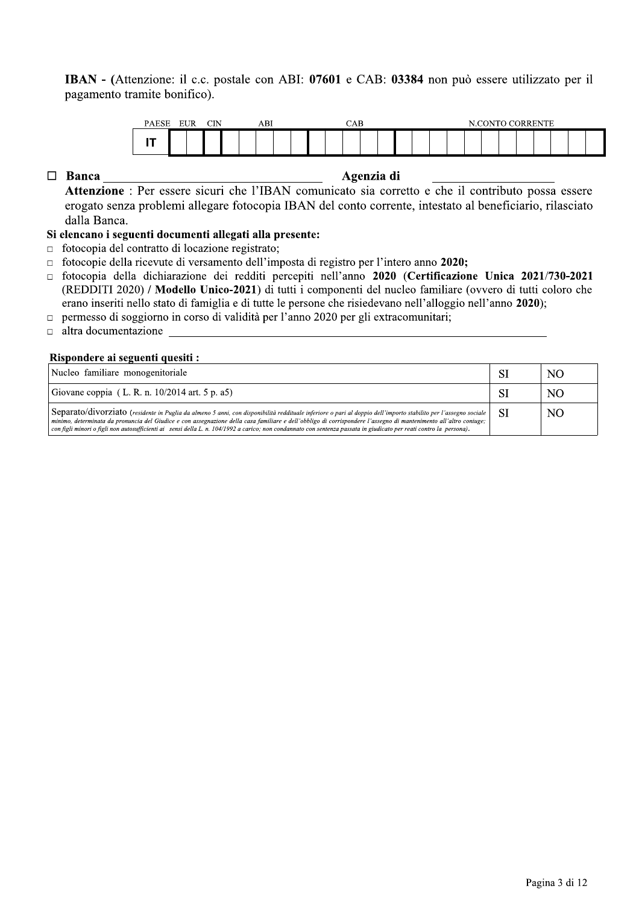### **IBAN** - (Attenzione: il c.c. postale con ABI:  $0/601$  e CAB:  $0.3384$  non puo essere utilizzato per il pagamento tramite bonif



 $genz1a$  di

### Si elencano i seguenti documenti allegati alla presente:

- $\Box$  fotocopia del contratto di locazione registrato;
- fotocopie della ricevute di versamento dell'imposta di registro per l'intero anno 2020;
- fotocopia della dichiarazione dei redditi percepiti nell'anno enti del nucleo familiare (ovvero di tutti coloro che erano inseriti nello stato di famiglia e di tutte le persone che risiedevano nell'alloggio nell'anno
- o in corso di validità per l'anno 2020 per gli extracomunitari;
- altra documentazione  $e<sub>6</sub>$

### Rispondere ai seguenti quesiti :

| Attenzione : Per essere sicuri che l'IBAN comunicato sia corretto e che il contributo possa essere                                                                                                                                             |           |     |
|------------------------------------------------------------------------------------------------------------------------------------------------------------------------------------------------------------------------------------------------|-----------|-----|
| erogato senza problemi allegare fotocopia IBAN del conto corrente, intestato al beneficiario, rilasciato                                                                                                                                       |           |     |
| dalla Banca.                                                                                                                                                                                                                                   |           |     |
| Si elencano i seguenti documenti allegati alla presente:                                                                                                                                                                                       |           |     |
| fotocopia del contratto di locazione registrato;<br>□<br>fotocopie della ricevute di versamento dell'imposta di registro per l'intero anno 2020;                                                                                               |           |     |
| fotocopia della dichiarazione dei redditi percepiti nell'anno 2020 (Certificazione Unica 2021/730-2021<br>(REDDITI 2020) / Modello Unico-2021) di tutti i componenti del nucleo familiare (ovvero di tutti coloro che                          |           |     |
| erano inseriti nello stato di famiglia e di tutte le persone che risiedevano nell'alloggio nell'anno 2020);<br>permesso di soggiorno in corso di validità per l'anno 2020 per gli extracomunitari;<br>$\Box$<br>altra documentazione<br>$\Box$ |           |     |
| Rispondere ai seguenti quesiti :<br>Nucleo familiare monogenitoriale                                                                                                                                                                           | <b>SI</b> | NO. |
| Giovane coppia (L. R. n. 10/2014 art. 5 p. a5)                                                                                                                                                                                                 | <b>SI</b> | NO. |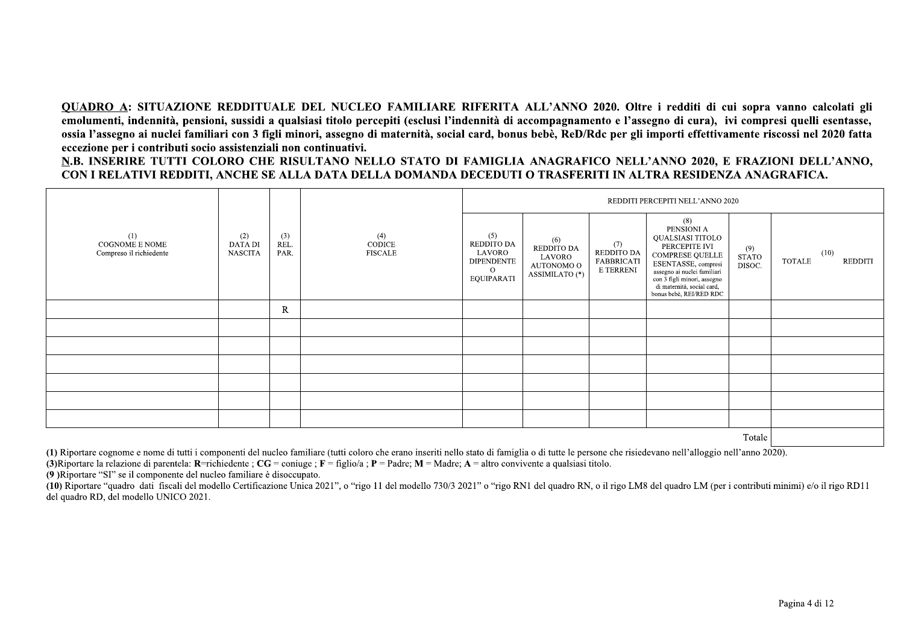OUADRO A: SITUAZIONE REDDITUALE DEL NUCLEO FAMILIARE RIFERITA ALL'ANNO 2020. Oltre i redditi di cui sopra vanno calcolati gli emolumenti, indennità, pensioni, sussidi a qualsiasi titolo percepiti (esclusi l'indennità di accompagnamento e l'assegno di cura), ivi compresi quelli esentasse, ossia l'assegno ai nuclei familiari con 3 figli minori, assegno di maternità, social card, bonus bebè, ReD/Rdc per gli importi effettivamente riscossi nel 2020 fatta eccezione per i contributi socio assistenziali non continuativi.

N.B. INSERIRE TUTTI COLORO CHE RISULTANO NELLO STATO DI FAMIGLIA ANAGRAFICO NELL'ANNO 2020, E FRAZIONI DELL'ANNO, CON I RELATIVI REDDITI. ANCHE SE ALLA DATA DELLA DOMANDA DECEDUTI O TRASFERITI IN ALTRA RESIDENZA ANAGRAFICA.

|                                                  |                                  |                     |                                 |                                                                                   |                                                             |                                                     | REDDITI PERCEPITI NELL'ANNO 2020                                                                                                                                                                                               |                               |                                  |
|--------------------------------------------------|----------------------------------|---------------------|---------------------------------|-----------------------------------------------------------------------------------|-------------------------------------------------------------|-----------------------------------------------------|--------------------------------------------------------------------------------------------------------------------------------------------------------------------------------------------------------------------------------|-------------------------------|----------------------------------|
| (1)<br>COGNOME E NOME<br>Compreso il richiedente | (2)<br>DATA DI<br><b>NASCITA</b> | (3)<br>REL.<br>PAR. | (4)<br>CODICE<br><b>FISCALE</b> | (5)<br>REDDITO DA<br>LAVORO<br><b>DIPENDENTE</b><br>$\Omega$<br><b>EQUIPARATI</b> | (6)<br>REDDITO DA<br>LAVORO<br>AUTONOMO O<br>ASSIMILATO (*) | (7)<br>REDDITO DA<br><b>FABBRICATI</b><br>E TERRENI | (8)<br>PENSIONI A<br>QUALSIASI TITOLO<br>PERCEPITE IVI<br><b>COMPRESE QUELLE</b><br>ESENTASSE, compresi<br>assegno ai nuclei familiari<br>con 3 figli minori, assegno<br>di maternità, social card,<br>bonus bebé, REI/RED RDC | (9)<br><b>STATO</b><br>DISOC. | (10)<br><b>TOTALE</b><br>REDDITI |
|                                                  |                                  | R                   |                                 |                                                                                   |                                                             |                                                     |                                                                                                                                                                                                                                |                               |                                  |
|                                                  |                                  |                     |                                 |                                                                                   |                                                             |                                                     |                                                                                                                                                                                                                                |                               |                                  |
|                                                  |                                  |                     |                                 |                                                                                   |                                                             |                                                     |                                                                                                                                                                                                                                |                               |                                  |
|                                                  |                                  |                     |                                 |                                                                                   |                                                             |                                                     |                                                                                                                                                                                                                                |                               |                                  |
|                                                  |                                  |                     |                                 |                                                                                   |                                                             |                                                     |                                                                                                                                                                                                                                |                               |                                  |
|                                                  |                                  |                     |                                 |                                                                                   |                                                             |                                                     |                                                                                                                                                                                                                                |                               |                                  |
|                                                  |                                  |                     |                                 |                                                                                   |                                                             |                                                     |                                                                                                                                                                                                                                |                               |                                  |
|                                                  |                                  |                     |                                 |                                                                                   |                                                             |                                                     |                                                                                                                                                                                                                                | $T_{\alpha+1}$                |                                  |

Totale

(1) Riportare cognome e nome di tutti i componenti del nucleo familiare (tutti coloro che erano inseriti nello stato di famiglia o di tutte le persone che risiedevano nell'alloggio nell'anno 2020).

(3) Riportare la relazione di parentela: R=richiedente :  $CG = \text{coniue}$ : F = figlio/a : P = Padre: M = Madre: A = altro convivente a qualsiasi titolo.

(9) Riportare "SI" se il componente del nucleo familiare è disoccupato.

(10) Riportare "quadro dati fiscali del modello Certificazione Unica 2021", o "rigo 11 del modello 730/3 2021" o "rigo RN1 del quadro RN, o il rigo LM8 del quadro LM (per i contributi minimi) e/o il rigo RD11 del quadro RD, del modello UNICO 2021.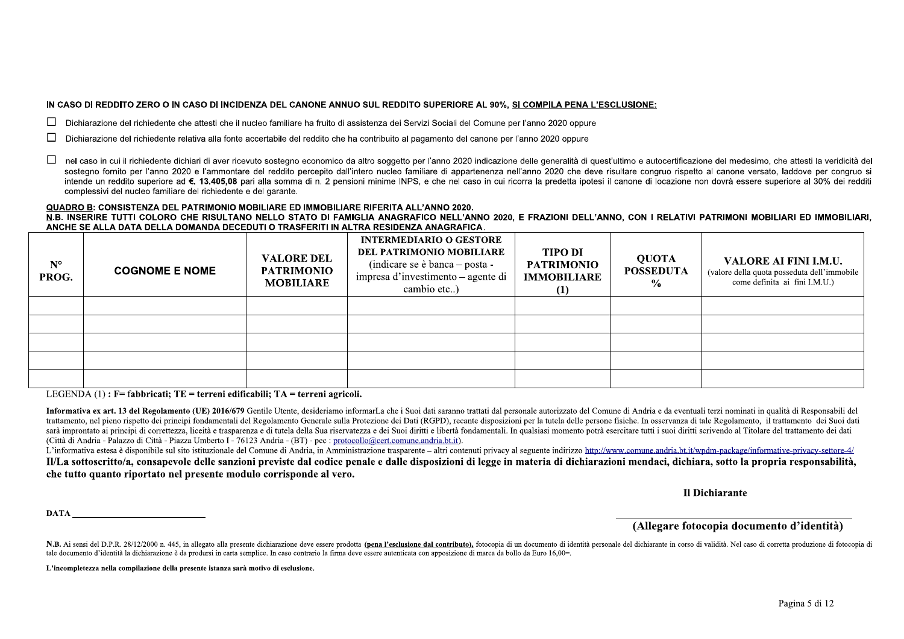### IN CASO DI REDDITO ZERO O IN CASO DI INCIDENZA DEL CANONE ANNUO SUL REDDITO SUPERIORE AL 90%. SI COMPILA PENA L'ESCLUSIONE:

Dichiarazione del richiedente che attesti che il nucleo familiare ha fruito di assistenza dei Servizi Sociali del Comune per l'anno 2020 oppure

- Dichiarazione del richiedente relativa alla fonte accertabile del reddito che ha contribuito al pagamento del canone per l'anno 2020 oppure
- nel caso in cui il richiedente dichiari di aver ricevuto sostegno economico da altro soggetto per l'anno 2020 indicazione delle generalità di quest'ultimo e autocertificazione del medesimo, che attesti la veridicità del □ sostegno fornito per l'anno 2020 e l'ammontare del reddito percepito dall'intero nucleo familiare di appartenenza nell'anno 2020 che deve risultare congruo rispetto al canone versato, laddove per congruo si intende un reddito superiore ad €. 13.405.08 pari alla somma di n. 2 pensioni minime INPS, e che nel caso in cui ricorra la predetta ipotesi il canone di locazione non dovrà essere superiore al 30% dei redditi complessivi del nucleo familiare del richiedente e del garante.

### QUADRO B: CONSISTENZA DEL PATRIMONIO MOBILIARE ED IMMOBILIARE RIFERITA ALL'ANNO 2020.

N.B. INSERIRE TUTTI COLORO CHE RISULTANO NELLO STATO DI FAMIGLIA ANAGRAFICO NELL'ANNO 2020. E FRAZIONI DELL'ANNO, CON I RELATIVI PATRIMONI MOBILIARI ED IMMOBILIARI. ANCHE SE ALLA DATA DELLA DOMANDA DECEDUTI O TRASFERITI IN ALTRA RESIDENZA ANAGRAFICA.

| $N^{\circ}$<br>PROG. | <b>COGNOME E NOME</b> | <b>VALORE DEL</b><br><b>PATRIMONIO</b><br><b>MOBILIARE</b> | <b>INTERMEDIARIO O GESTORE</b><br>DEL PATRIMONIO MOBILIARE<br>(indicare se è banca $-$ posta -<br>impresa d'investimento – agente di<br>cambio etc) | <b>TIPO DI</b><br><b>PATRIMONIO</b><br><b>IMMOBILIARE</b><br>$\left(1\right)$ | <b>QUOTA</b><br><b>POSSEDUTA</b><br>$\frac{0}{0}$ | VALORE AI FINI I.M.U.<br>(valore della quota posseduta dell'immobile<br>come definita ai fini I.M.U.) |
|----------------------|-----------------------|------------------------------------------------------------|-----------------------------------------------------------------------------------------------------------------------------------------------------|-------------------------------------------------------------------------------|---------------------------------------------------|-------------------------------------------------------------------------------------------------------|
|                      |                       |                                                            |                                                                                                                                                     |                                                                               |                                                   |                                                                                                       |
|                      |                       |                                                            |                                                                                                                                                     |                                                                               |                                                   |                                                                                                       |
|                      |                       |                                                            |                                                                                                                                                     |                                                                               |                                                   |                                                                                                       |
|                      |                       |                                                            |                                                                                                                                                     |                                                                               |                                                   |                                                                                                       |
|                      |                       |                                                            |                                                                                                                                                     |                                                                               |                                                   |                                                                                                       |

LEGENDA  $(1)$ : F= fabbricati; TE = terreni edificabili; TA = terreni agricoli.

Informativa ex art. 13 del Regolamento (UE) 2016/679 Gentile Utente, desideriamo informarLa che i Suoi dati saranno trattati dal personale autorizzato del Comune di Andria e da eventuali terzi nominati in qualità di Respon trattamento, nel pieno rispetto dei principi fondamentali del Regolamento Generale sulla Protezione dei Dati (RGPD), recante disposizioni per la tutela delle persone fisiche. In osservanza di tale Regolamento, il trattamen sarà improntato ai principi di correttezza, liceità e trasparenza e di tutela della Sua riservatezza e dei Suoi diritti e libertà fondamentali. In qualsiasi momento potrà esercitare tutti i suoi diritti scrivendo al Titola (Città di Andria - Palazzo di Città - Piazza Umberto I - 76123 Andria - (BT) - pec : protocollo@cert.comune.andria.bt.it).

L'informativa estesa è disponibile sul sito istituzionale del Comune di Andria, in Amministrazione trasparente – altri contenuti privacy al seguente indirizzo http://www.comune.andria.bt.it/wpdm-package/informative-privacy Il/La sottoscritto/a, consapevole delle sanzioni previste dal codice penale e dalle disposizioni di legge in materia di dichiarazioni mendaci, dichiara, sotto la propria responsabilità, che tutto quanto riportato nel presente modulo corrisponde al vero.

Il Dichiarante

**DATA** 

### (Allegare fotocopia documento d'identità)

N.B. Ai sensi del D.P.R. 28/12/2000 n. 445, in allegato alla presente dichiarazione deve essere prodotta (pena l'esclusione dal contributo), fotocopia di un documento di identità personale del dichiarante in corso di valid tale documento d'identità la dichiarazione è da prodursi in carta semplice. In caso contrario la firma deve essere autenticata con apposizione di marca da bollo da Euro 16,00=.

L'incompletezza nella compilazione della presente istanza sarà motivo di esclusione.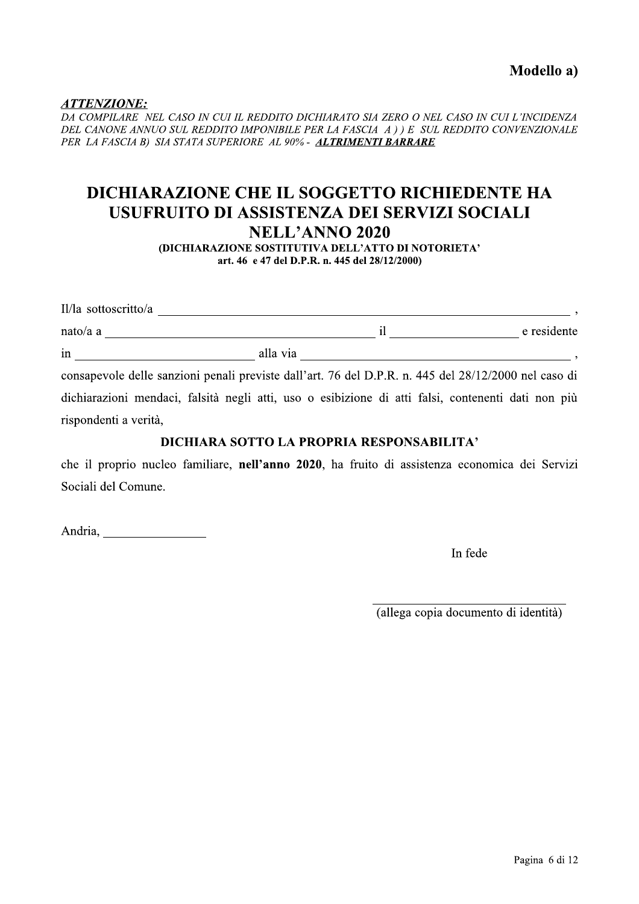Modello a)

<u>ATTENZIONE:</u>

 $\ddot{=}$ DA COMPILARE | NEL CASO IN CUI IL REDDITO DICHIARATO SIA ZERO O NEL CASO IN CUI L'INCIDENZA PER LA FASCIA B) SIA STATA SUPERIORE AL 90% - ALTRIMENTI BARRARE

# Modello a)<br>
Modello a)<br>
DA COMPILARE NEL CASO IN CUI IL REDDITO DICHIARATO SIA ZERO O NEL CASO IN CUI L'INCIDENZA<br>
DEL CANONE ANNUO SUL REDDITO IMPONIBILE PER LA FASCIA A ) ) E SUL REDDITO CONVENZIONALE<br>
PER LA FASCIA B) S DICHIARAZIONE CHE IL SOGGETTO RICHIEDENTE HA USUFRUITO DI ASSISTENZA DEI SERVIZI SOCIALI<br>NELL'ANNO 2020

(DICHIARAZIONE SOSTITUTIVA DELL'ATTO DI NOTORIETA' art. 46 e 47 del D.P.R. n. 445 del 28/12/2000)

| Il/la sottoscritto/a  |                                                                                                      |             |
|-----------------------|------------------------------------------------------------------------------------------------------|-------------|
| nato/a a              |                                                                                                      | e residente |
| in                    | alla via                                                                                             |             |
|                       | consapevole delle sanzioni penali previste dall'art. 76 del D.P.R. n. 445 del 28/12/2000 nel caso di |             |
|                       | dichiarazioni mendaci, falsità negli atti, uso o esibizione di atti falsi, contenenti dati non più   |             |
| rispondenti a verità. |                                                                                                      |             |

### Spondenti a vertia,<br>DICHIARA SOTTO LA PROPRIA RESPONSABILITA<sup>,</sup>

che il proprio nucleo familiare, nell'anno 2020, ha fruito di assistenza economica dei Servizi Sociali del Comune.

{]\_YZS\T[[[[[[[[[[[[[[[[

In fede

[[[[[[[[[[[[[[[[[[[[[[[[[[[[[[ (allega copia documento di identita)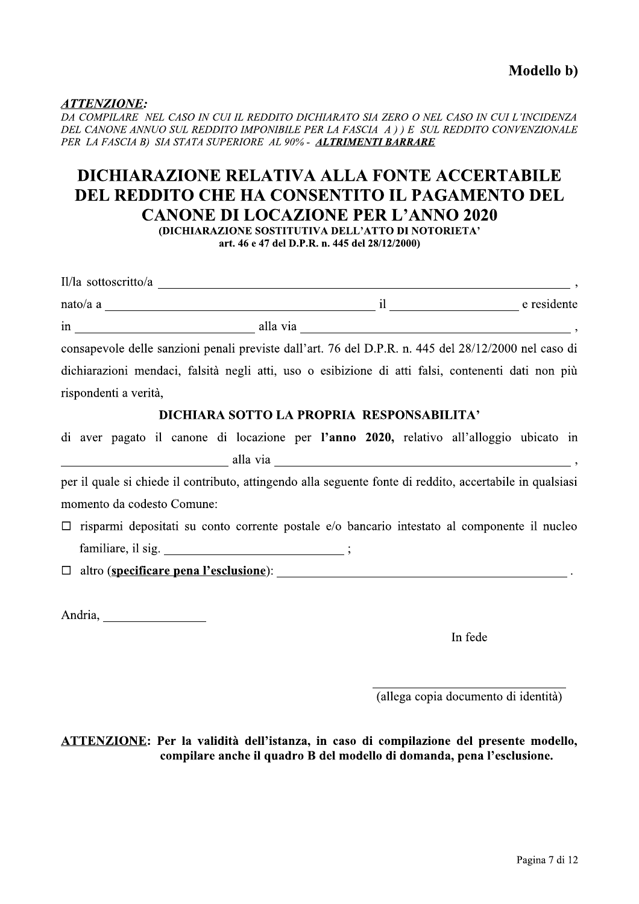### <u>ATTENZIONE:</u>

 $\ddot{\cdot}$  . DA COMPILARE | NEL CASO IN CUI IL REDDITO DICHIARATO SIA ZERO O NEL CASO IN CUI L'INCIDENZA PER LA FASCIA B) SIA STATA SUPERIORE AL 90% - ALTRIMENTI BARRARE

# $\begin{array}{c} {\bf \small ATTENZIONE:} \\\mathcal{D}A\text{ COMPLARE NEL CASO IN CUI IL REDDITO DICHIARATO SIA ZERO O NEL CASO IN CUI L'INCIDENZA DEL CANONE ANNUO SUL REDDITO IMPONIBILE PER LA FASTAGCA A ) ) E SUL REDDITO CONVENZIONALE PER LA FASTASCHA E DER LA FASTASCII.} \\\begin{tabular}{c} \bf DICHIARAZIONE RELATIVA ALLA FLI MENIT BARRARE \\\bf DICHIARAZIONE RELATIVA ALLA FONTE ACCERTABILE \\\bf DEL REDDITO CHE HA CONSENTITO IL PAGAMENTO DEL CANONE DI LOCAZIONE PER L'ANNO 2020 \\\begin{tabular}{c} {\bf \$ DICHIARAZIONE RELATIVA ALLA FONTE ACCERTABILE **DEL REDDITO CHE HA CONSENTITO IL PAGAMENTO DEL<br>CANONE DI LOCAZIONE PER L'ANNO 2020**

**OICHIARAZIONE SOSTITUTIVA DELL'ATTO DI NOTORIETA'** 

art. 46 e 47 del D.P.R. n. 445 del 28/12/2000)

| $II/la$ sottoscritto/a                                                                               |          |             |
|------------------------------------------------------------------------------------------------------|----------|-------------|
| nato/a a                                                                                             |          | e residente |
| in                                                                                                   | alla via |             |
| consapevole delle sanzioni penali previste dall'art. 76 del D.P.R. n. 445 del 28/12/2000 nel caso di |          |             |

dichiarazioni mendaci, falsità negli atti, uso o esibizione di atti falsi, contenenti dati non più rispondenti a verità,<br>DICHIARA SOTTO LA PROPRIA RESPONSABILITA?

di aver pagato il canone di locazione per l'anno 2020, relativo all'alloggio ubicato in ]]]]]]]]]]]]]]]]]]]]]]]]]]VUSSUVb\UV]]]]]]]]]]]]]]]]]]]]]]]]]]]]]]]]]]]]]]]]]]]]]]V^

per il quale si chiede il contributo, attingendo alla seguente fonte di reddito, accertabile in qualsiasi momento da codesto Comune:

 $\Box$  risparmi depositati su conto corrente postale e/o bancario intestato al componente il nucleo  $f$  amiliare, il sig.  $\hspace{1.5cm}$  ;

 $\Box$  altro (specificare pena l'esclusione):

Andria, <u>\_\_\_\_\_\_\_\_\_\_\_\_\_\_\_</u>

In fede

]]]]]]]]]]]]]]]]]]]]]]]]]]]]]] (allega copia documento di identita)

<u>ATTENZIONE</u>: Per la validita dell'istanza, in caso di compilazione del presente modello, compilare anche il quadro B del modello di domanda, pena l'esclusione.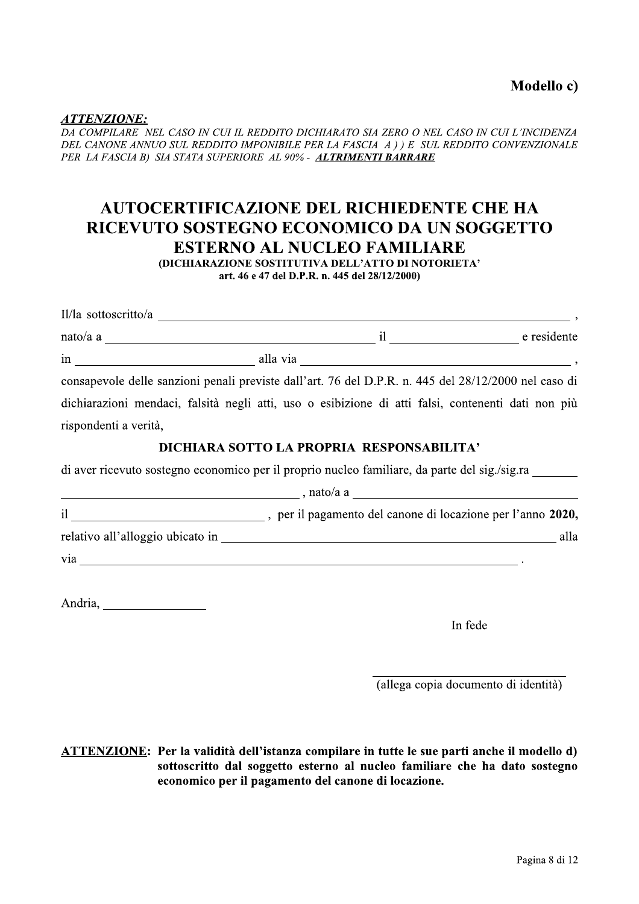Modello c)

<u>ATTENZIONE:</u>

<u>:</u><br>... DA COMPILARE | NEL CASO IN CUI IL REDDITO DICHIARATO SIA ZERO O NEL CASO IN CUI L'INCIDENZA PER LA FASCIA B) SIA STATA SUPERIORE AL 90% - ALTRIMENTI BARRARE

# Modello c)<br>
Modello c)<br>
DA COMPILARE NEL CASO IN CUI IL REDDITO DICHIARATO SIA ZERO O NEL CASO IN CUI L'INCIDENZA<br>
DEL CANONE ANNUO SUL REDDITO IMPONIBILE PER LA FASCIA A ) ) E SUL REDDITO CONVENZIONALE<br>
PER LA FASCIA B) S AUTOCERTIFICAZIONE DEL RICHIEDENTE CHE HA RICEVUTO SOSTEGNO ECONOMICO DA UN SOGGETTO<br>ESTERNO AL NUCLEO FAMILIARE

(DICHIARAZIONE SOSTITUTIVA DELL'ATTO DI NOTORIETA' art. 46 e 47 del D.P.R. n. 445 del 28/12/2000)

| nato/a a e residente                                                                                 |                                                                                             |      |
|------------------------------------------------------------------------------------------------------|---------------------------------------------------------------------------------------------|------|
|                                                                                                      |                                                                                             |      |
| consapevole delle sanzioni penali previste dall'art. 76 del D.P.R. n. 445 del 28/12/2000 nel caso di |                                                                                             |      |
| dichiarazioni mendaci, falsità negli atti, uso o esibizione di atti falsi, contenenti dati non più   |                                                                                             |      |
| rispondenti a verità,                                                                                |                                                                                             |      |
|                                                                                                      | DICHIARA SOTTO LA PROPRIA RESPONSABILITA'                                                   |      |
| di aver ricevuto sostegno economico per il proprio nucleo familiare, da parte del sig./sig.ra ______ |                                                                                             |      |
| $\frac{1}{2}$ , nato/a a                                                                             |                                                                                             |      |
|                                                                                                      |                                                                                             |      |
|                                                                                                      |                                                                                             | alla |
|                                                                                                      | . The contract of the contract of the contract of the contract of the contract of $\bullet$ |      |

{^`Z[T]U\\\\\\\\\\\\\\\\

In fede

\\\\\\\\\\\\\\\\\\\\\\\\\\\\\\ (allega copia documento di identita)

<u>ATTENZIONE</u>: Per la validita dell'istanza compilare in tutte le sue parti anche il modello d) sottoscritto dal soggetto esterno al nucleo familiare che ha dato sostegno economico per il pagamento del canone di locazione.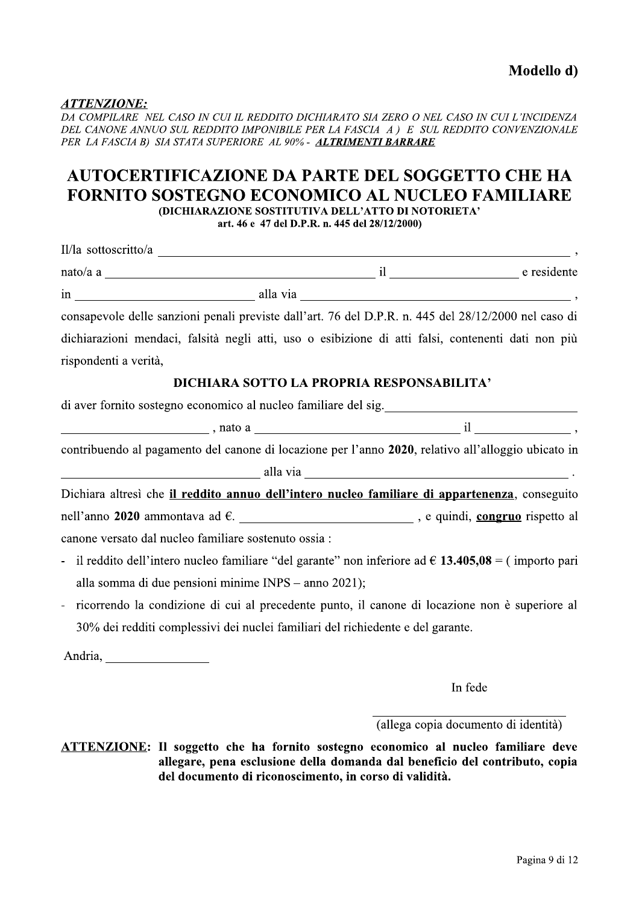### <u>ATTENZIONE:</u><br>==============

DA COMPILARE NEL CASO IN CUI IL REDDITO DICHIARATO SIA ZERO O NEL CASO IN CUI L'INCIDENZA DEL CANONE ANNUO SUL REDDITO IMPONIBILE PER LA FASCIA A) E SUL REDDITO CONVENZIONALE **Modello d)**<br>
Modello d)<br>
DA COMPILARE NEL CASO IN CUI IL REDDITO DICHIARATO SIA ZERO O NEL CASO IN CUI L'INCIDENZA<br>
DEL CANONE ANNUO SUL REDDITO IMPONIBILE PER LA FASCIA A ) E SUL REDDITO CONVENZIONALE<br>
PER LA FASCIA B) S PER LA FASCIA B) SIA STATA SUPERIORE AL 90% - ALTRIMENTI BARRARE

### AUTOCERTIFICAZIONE DA PARTE DEL SOGGETTO CHE HA FORNITO SOSTEGNO ECONOMICO AL NUCLEO FAMILIARE<br>
(DICHIARAZIONE SOSTITUTIVA DELL'ATTO DI NOTORIETA'

art. 46 e *47* del D.P.R. n. 445 del 28/12/2000)

| nato/a a existente e residente                                                                                |                                                                                 |  |
|---------------------------------------------------------------------------------------------------------------|---------------------------------------------------------------------------------|--|
|                                                                                                               |                                                                                 |  |
| consapevole delle sanzioni penali previste dall'art. 76 del D.P.R. n. 445 del 28/12/2000 nel caso di          |                                                                                 |  |
| dichiarazioni mendaci, falsità negli atti, uso o esibizione di atti falsi, contenenti dati non più            |                                                                                 |  |
| rispondenti a verità,                                                                                         |                                                                                 |  |
|                                                                                                               | DICHIARA SOTTO LA PROPRIA RESPONSABILITA'                                       |  |
|                                                                                                               |                                                                                 |  |
|                                                                                                               |                                                                                 |  |
| contribuendo al pagamento del canone di locazione per l'anno 2020, relativo all'alloggio ubicato in           |                                                                                 |  |
| $\frac{1}{2}$ alla via $\frac{1}{2}$ alla via $\frac{1}{2}$ .                                                 |                                                                                 |  |
| Dichiara altresì che il reddito annuo dell'intero nucleo familiare di appartenenza, conseguito                |                                                                                 |  |
| nell'anno 2020 ammontava ad €. ____________________________, e quindi, congruo rispetto al                    |                                                                                 |  |
| canone versato dal nucleo familiare sostenuto ossia :                                                         |                                                                                 |  |
| - il reddito dell'intero nucleo familiare "del garante" non inferiore ad $\epsilon$ 13.405,08 = (importo pari |                                                                                 |  |
| alla somma di due pensioni minime INPS – anno 2021);                                                          |                                                                                 |  |
| ricorrendo la condizione di cui al precedente punto, il canone di locazione non è superiore al                |                                                                                 |  |
|                                                                                                               | 30% dei redditi complessivi dei nuclei familiari del richiedente e del garante. |  |
|                                                                                                               |                                                                                 |  |

In fede

 $\frac{1}{\sqrt{2}}$ (allega copia documento di identita)

<u>ATTENZIONE</u>: Il soggetto che ha fornito sostegno economico al nucleo familiare deve allegare, pena esclusione della domanda dal beneficio del contributo, copia del documento di riconoscimento, in corso di validità.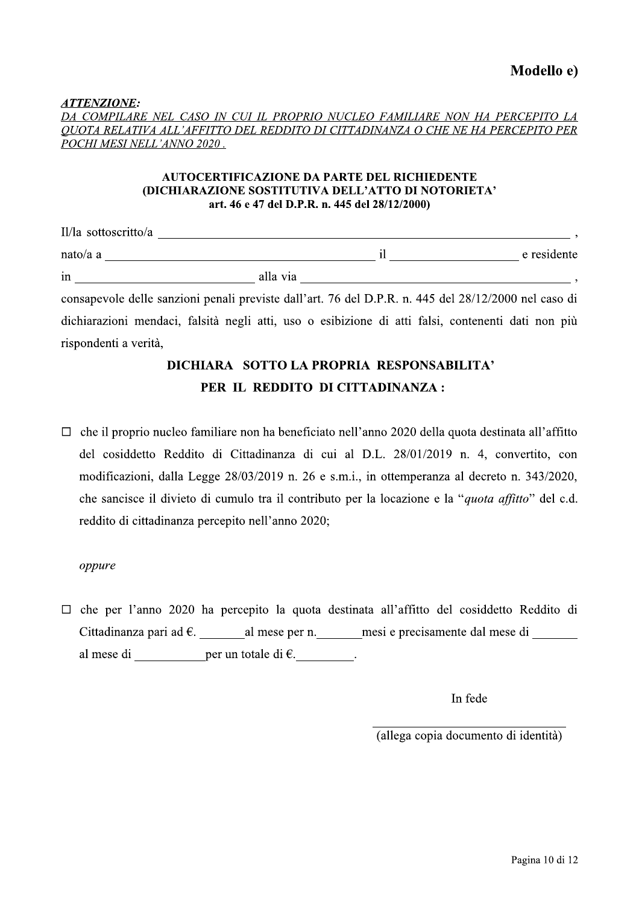ATTENZIONE:

DA COMPILARE NEL CASO IN CUI IL PROPRIO NUCLEO FAMILIARE NON HA PERCEPITO LA OUOTA RELATIVA ALL'AFFITTO DEL REDDITO DI CITTADINANZA O CHE NE HA PERCEPITO PER POCHI MESI NELL'ANNO 2020.

### **AUTOCERTIFICAZIONE DA PARTE DEL RICHIEDENTE (DICHIARAZIONE SOSTITUTIVA DELL'ATTO DI NOTORIETA'** art. 46 e 47 del D.P.R. n. 445 del 28/12/2000)

| Il/la sottoscritto/a |          |             |
|----------------------|----------|-------------|
| nato/a a             |          | e residente |
| in                   | alla via |             |

consapevole delle sanzioni penali previste dall'art. 76 del D.P.R. n. 445 del 28/12/2000 nel caso di dichiarazioni mendaci, falsità negli atti, uso o esibizione di atti falsi, contenenti dati non più rispondenti a verità,

### DICHIARA SOTTO LA PROPRIA RESPONSABILITA' PER IL REDDITO DI CITTADINANZA:

 $\Box$  che il proprio nucleo familiare non ha beneficiato nell'anno 2020 della quota destinata all'affitto del cosiddetto Reddito di Cittadinanza di cui al D.L. 28/01/2019 n. 4, convertito, con modificazioni, dalla Legge 28/03/2019 n. 26 e s.m.i., in ottemperanza al decreto n. 343/2020, che sancisce il divieto di cumulo tra il contributo per la locazione e la "quota affitto" del c.d. reddito di cittadinanza percepito nell'anno 2020;

### oppure

 $\Box$  che per l'anno 2020 ha percepito la quota destinata all'affitto del cosiddetto Reddito di Cittadinanza pari ad  $\epsilon$ . al mese per n. mesi e precisamente dal mese di al mese di per un totale di  $\epsilon$ .

In fede

(allega copia documento di identità)